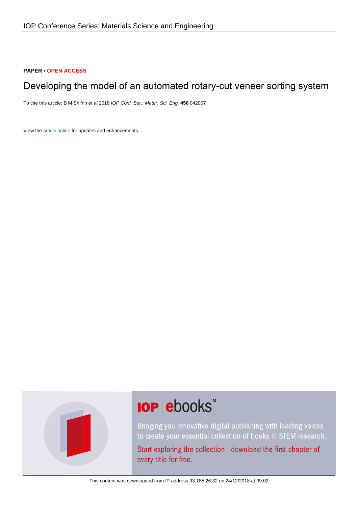## **PAPER • OPEN ACCESS**

# Developing the model of an automated rotary-cut veneer sorting system

To cite this article: B M Shifrin et al 2018 IOP Conf. Ser.: Mater. Sci. Eng. **450** 042007

View the [article online](https://doi.org/10.1088/1757-899X/450/4/042007) for updates and enhancements.



# **IOP ebooks**™

Bringing you innovative digital publishing with leading voices to create your essential collection of books in STEM research.

Start exploring the collection - download the first chapter of every title for free.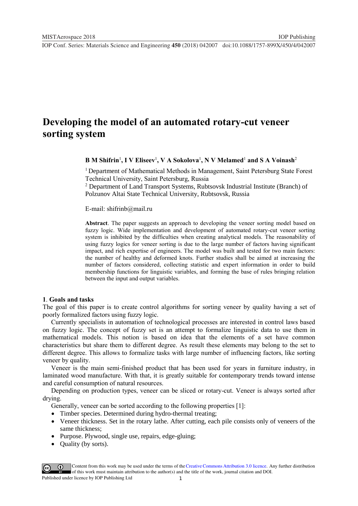# **Developing the model of an automated rotary-cut veneer sorting system**

**B M Shifrin**<sup>1</sup> **, I V Eliseev**<sup>1</sup> **, V A Sokolova**<sup>1</sup> **, N V Melamed**<sup>1</sup> **and S A Voinash**<sup>2</sup>

<sup>1</sup> Department of Mathematical Methods in Management, Saint Petersburg State Forest Technical University, Saint Petersburg, Russia

<sup>2</sup> Department of Land Transport Systems, Rubtsovsk Industrial Institute (Branch) of Polzunov Altai State Technical University, Rubtsovsk, Russia

E-mail: shifrinb@mail.ru

**Abstract**. The paper suggests an approach to developing the veneer sorting model based on fuzzy logic. Wide implementation and development of automated rotary-cut veneer sorting system is inhibited by the difficulties when creating analytical models. The reasonability of using fuzzy logics for veneer sorting is due to the large number of factors having significant impact, and rich expertise of engineers. The model was built and tested for two main factors: the number of healthy and deformed knots. Further studies shall be aimed at increasing the number of factors considered, collecting statistic and expert information in order to build membership functions for linguistic variables, and forming the base of rules bringing relation between the input and output variables.

#### **1**. **Goals and tasks**

The goal of this paper is to create control algorithms for sorting veneer by quality having a set of poorly formalized factors using fuzzy logic.

Currently specialists in automation of technological processes are interested in control laws based on fuzzy logic. The concept of fuzzy set is an attempt to formalize linguistic data to use them in mathematical models. This notion is based on idea that the elements of a set have common characteristics but share them to different degree. As result these elements may belong to the set to different degree. This allows to formalize tasks with large number of influencing factors, like sorting veneer by quality.

Veneer is the main semi-finished product that has been used for years in furniture industry, in laminated wood manufacture. With that, it is greatly suitable for contemporary trends toward intense and careful consumption of natural resources.

Depending on production types, veneer can be sliced or rotary-cut. Veneer is always sorted after drying.

Generally, veneer can be sorted according to the following properties [1]:

- Timber species. Determined during hydro-thermal treating;
- Veneer thickness. Set in the rotary lathe. After cutting, each pile consists only of veneers of the same thickness;
- Purpose. Plywood, single use, repairs, edge-gluing;
- Quality (by sorts).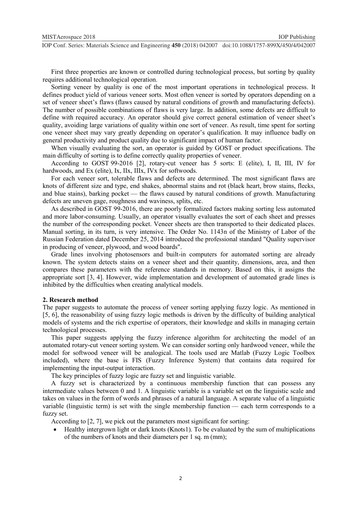First three properties are known or controlled during technological process, but sorting by quality requires additional technological operation.

Sorting veneer by quality is one of the most important operations in technological process. It defines product yield of various veneer sorts. Most often veneer is sorted by operators depending on a set of veneer sheet's flaws (flaws caused by natural conditions of growth and manufacturing defects). The number of possible combinations of flaws is very large. In addition, some defects are difficult to define with required accuracy. An operator should give correct general estimation of veneer sheet's quality, avoiding large variations of quality within one sort of veneer. As result, time spent for sorting one veneer sheet may vary greatly depending on operator's qualification. It may influence badly on general productivity and product quality due to significant impact of human factor.

When visually evaluating the sort, an operator is guided by GOST or product specifications. The main difficulty of sorting is to define correctly quality properties of veneer.

According to GOST 99-2016 [2], rotary-cut veneer has 5 sorts: E (elite), I, II, III, IV for hardwoods, and Ex (elite), Ix, IIx, IIIx, IVx for softwoods.

For each veneer sort, tolerable flaws and defects are determined. The most significant flaws are knots of different size and type, end shakes, abnormal stains and rot (black heart, brow stains, flecks, and blue stains), barking pocket — the flaws caused by natural conditions of growth. Manufacturing defects are uneven gage, roughness and waviness, splits, etc.

As described in GOST 99-2016, there are poorly formalized factors making sorting less automated and more labor-consuming. Usually, an operator visually evaluates the sort of each sheet and presses the number of the corresponding pocket. Veneer sheets are then transported to their dedicated places. Manual sorting, in its turn, is very intensive. The Order No. 1143n of the Ministry of Labor of the Russian Federation dated December 25, 2014 introduced the professional standard "Quality supervisor in producing of veneer, plywood, and wood boards".

Grade lines involving photosensors and built-in computers for automated sorting are already known. The system detects stains on a veneer sheet and their quantity, dimensions, area, and then compares these parameters with the reference standards in memory. Based on this, it assigns the appropriate sort [3, 4]. However, wide implementation and development of automated grade lines is inhibited by the difficulties when creating analytical models.

#### **2. Research method**

The paper suggests to automate the process of veneer sorting applying fuzzy logic. As mentioned in [5, 6], the reasonability of using fuzzy logic methods is driven by the difficulty of building analytical models of systems and the rich expertise of operators, their knowledge and skills in managing certain technological processes.

This paper suggests applying the fuzzy inference algorithm for architecting the model of an automated rotary-cut veneer sorting system. We can consider sorting only hardwood veneer, while the model for softwood veneer will be analogical. The tools used are Matlab (Fuzzy Logic Toolbox included), where the base is FIS (Fuzzy Inference System) that contains data required for implementing the input-output interaction.

The key principles of fuzzy logic are fuzzy set and linguistic variable.

A fuzzy set is characterized by a continuous membership function that can possess any intermediate values between 0 and 1. A linguistic variable is a variable set on the linguistic scale and takes on values in the form of words and phrases of a natural language. A separate value of a linguistic variable (linguistic term) is set with the single membership function — each term corresponds to a fuzzy set.

According to [2, 7], we pick out the parameters most significant for sorting:

 Healthy intergrown light or dark knots (Knots1). To be evaluated by the sum of multiplications of the numbers of knots and their diameters per 1 sq. m (mm);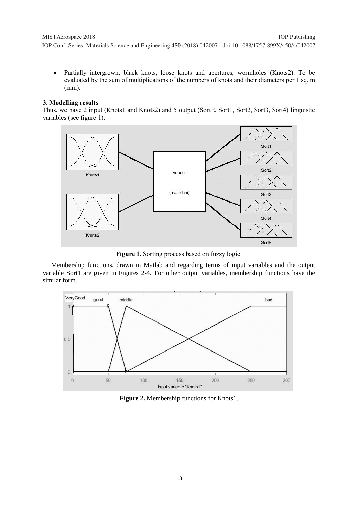Partially intergrown, black knots, loose knots and apertures, wormholes (Knots2). To be evaluated by the sum of multiplications of the numbers of knots and their diameters per 1 sq. m (mm).

## **3. Modelling results**

Thus, we have 2 input (Knots1 and Knots2) and 5 output (SortE, Sort1, Sort2, Sort3, Sort4) linguistic variables (see figure 1).



**Figure 1.** Sorting process based on fuzzy logic.

Membership functions, drawn in Matlab and regarding terms of input variables and the output variable Sort1 are given in Figures 2-4. For other output variables, membership functions have the similar form.



**Figure 2.** Membership functions for Knots1.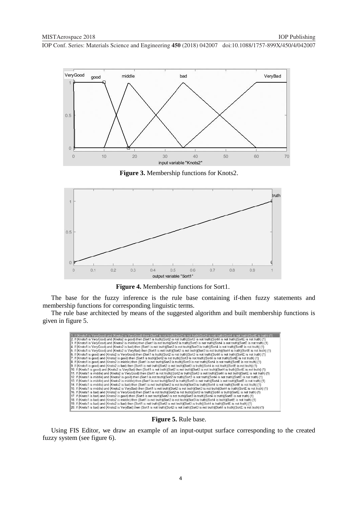

**Figure 3.** Membership functions for Knots2.



**Figure 4.** Membership functions for Sort1.

The base for the fuzzy inference is the rule base containing if-then fuzzy statements and membership functions for corresponding linguistic terms.

The rule base architected by means of the suggested algorithm and built membership functions is given in figure 5.



**Figure 5.** Rule base.

Using FIS Editor, we draw an example of an input-output surface corresponding to the created fuzzy system (see figure 6).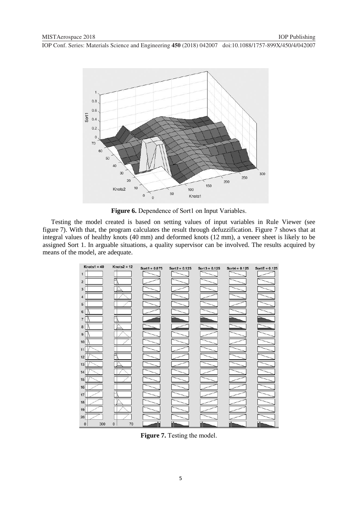

Figure 6. Dependence of Sort1 on Input Variables.

Testing the model created is based on setting values of input variables in Rule Viewer (see figure 7). With that, the program calculates the result through defuzzification. Figure 7 shows that at integral values of healthy knots (40 mm) and deformed knots (12 mm), a veneer sheet is likely to be assigned Sort 1. In arguable situations, a quality supervisor can be involved. The results acquired by means of the model, are adequate.



**Figure 7.** Testing the model.